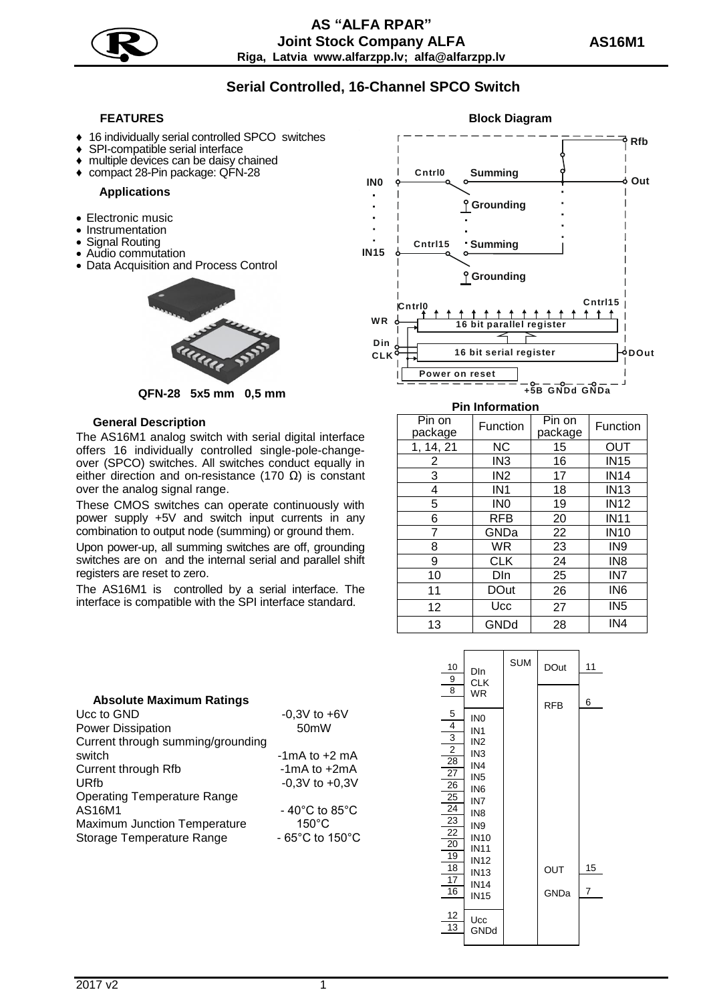

**5**

# **Serial Controlled, 16-Channel SPCO Switch**

- 16 individually serial controlled SPCO switches
- SPI-compatible serial interface
- multiple devices can be daisy chained
- ♦ compact 28-Pin package: QFN-28 **IN0**

## **Applications**

- Electronic music
- Instrumentation
- Signal Routing
- Audio commutation
- Data Acquisition and Process Control



**QFN-28 5x5 mm 0,5 mm**

### **General Description**

The AS16M1 analog switch with serial digital interface offers 16 individually controlled single-pole-changeover (SPCO) switches. All switches conduct equally in either direction and on-resistance (170  $\Omega$ ) is constant over the analog signal range.

These CMOS switches can operate continuously with power supply +5V and switch input currents in any combination to output node (summing) or ground them.

Upon power-up, all summing switches are off, grounding switches are on and the internal serial and parallel shift registers are reset to zero.

The AS16M1 is controlled by a serial interface. The interface is compatible with the SPI interface standard.



#### **Pin Information**

| Pin on<br>package | Function        | Pin on<br>package | Function        |  |  |
|-------------------|-----------------|-------------------|-----------------|--|--|
| 1, 14, 21         | ΝC              | 15                | OUT             |  |  |
| 2                 | IN <sub>3</sub> | 16                | <b>IN15</b>     |  |  |
| 3                 | IN <sub>2</sub> | 17                | <b>IN14</b>     |  |  |
| 4                 | IN <sub>1</sub> | 18                | <b>IN13</b>     |  |  |
| 5                 | IN <sub>0</sub> | 19                | <b>IN12</b>     |  |  |
| 6                 | <b>RFB</b>      | 20                | <b>IN11</b>     |  |  |
| 7                 | GNDa            | 22                | <b>IN10</b>     |  |  |
| 8                 | WR              | 23                | IN <sub>9</sub> |  |  |
| 9                 | CLK             | 24                | IN <sub>8</sub> |  |  |
| 10                | DIn             | 25                | IN7             |  |  |
| 11                | <b>DOut</b>     | 26                | IN <sub>6</sub> |  |  |
| 12                | Ucc             | 27                | IN <sub>5</sub> |  |  |
| 13                | GNDd            | 28                | IN4             |  |  |



## **Absolute Maximum Ratings**

| Ucc to GND                          | $-0,3V$ to $+6V$                   |  |  |  |
|-------------------------------------|------------------------------------|--|--|--|
| <b>Power Dissipation</b>            | 50 <sub>m</sub> W                  |  |  |  |
| Current through summing/grounding   |                                    |  |  |  |
| switch                              | $-1$ mA to $+2$ mA                 |  |  |  |
| Current through Rfb                 | $-1mA$ to $+2mA$                   |  |  |  |
| URfb                                | $-0.3V$ to $+0.3V$                 |  |  |  |
| <b>Operating Temperature Range</b>  |                                    |  |  |  |
| AS16M1                              | $-40^{\circ}$ C to 85 $^{\circ}$ C |  |  |  |
| <b>Maximum Junction Temperature</b> | $150^{\circ}$ C                    |  |  |  |
| Storage Temperature Range           | - 65°C to 150°C                    |  |  |  |
|                                     |                                    |  |  |  |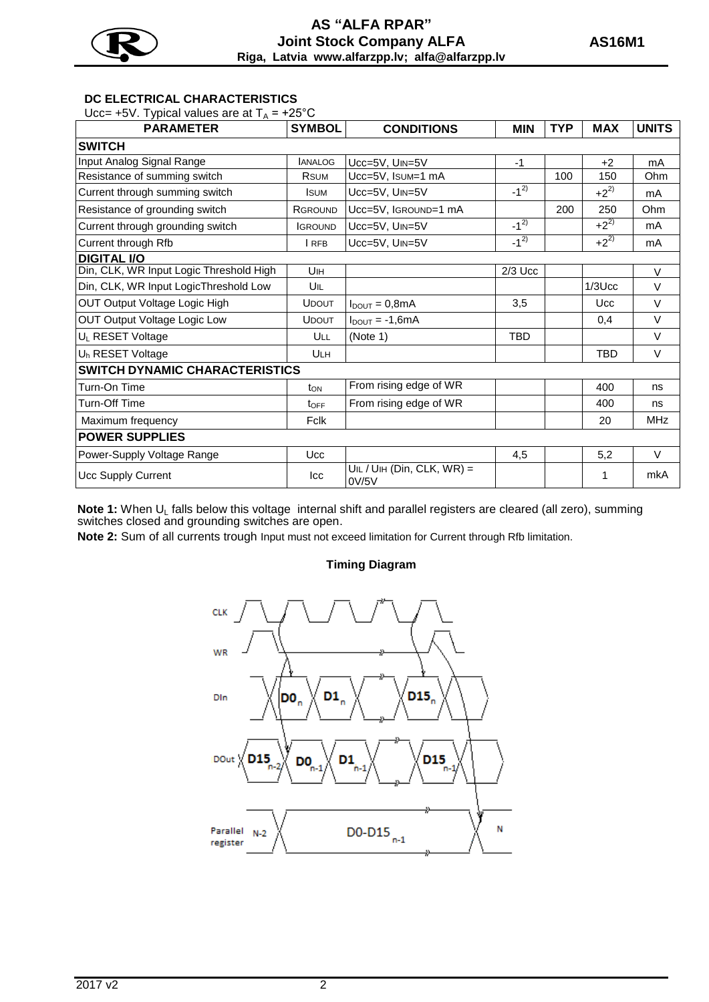

## **AS "АLFA RPAR" Joint Stock Company ALFA Riga, Latvia www.alfarzpp.lv; alfa@alfarzpp.lv**

**5**

## **DC ELECTRICAL CHARACTERISTICS**

Ucc= +5V. Typical values are at  $T_A$  = +25°C

| <b>PARAMETER</b>                        | <b>SYMBOL</b>    | <b>CONDITIONS</b>                     | <b>MIN</b> | <b>TYP</b> | <b>MAX</b> | <b>UNITS</b> |  |  |  |
|-----------------------------------------|------------------|---------------------------------------|------------|------------|------------|--------------|--|--|--|
| <b>SWITCH</b>                           |                  |                                       |            |            |            |              |  |  |  |
| Input Analog Signal Range               | <b>JANALOG</b>   | Ucc=5V, UIN=5V                        | $-1$       |            | $+2$       | mA           |  |  |  |
| Resistance of summing switch            | <b>R</b> SUM     | Ucc=5V, Isum=1 mA                     |            | 100        | 150        | Ohm          |  |  |  |
| Current through summing switch          | <b>I</b> SUM     | Ucc=5V, UIN=5V                        | $-1^{2}$   |            | $+2^{2)}$  | mA           |  |  |  |
| Resistance of grounding switch          | <b>RGROUND</b>   | Ucc=5V, IGROUND=1 mA                  |            | 200        | 250        | Ohm          |  |  |  |
| Current through grounding switch        | <b>IGROUND</b>   | Ucc=5V, UIN=5V                        | $-1^{2}$   |            | $+2^{2}$   | mA           |  |  |  |
| Current through Rfb                     | <b>I</b> RFB     | Ucc=5V, UIN=5V                        | $-1^{2}$   |            | $+2^{2}$   | mA           |  |  |  |
| <b>DIGITAL I/O</b>                      |                  |                                       |            |            |            |              |  |  |  |
| Din, CLK, WR Input Logic Threshold High | U <sub>IH</sub>  |                                       | $2/3$ Ucc  |            |            | V            |  |  |  |
| Din, CLK, WR Input LogicThreshold Low   | UIL              |                                       |            |            | $1/3$ Ucc  | $\vee$       |  |  |  |
| OUT Output Voltage Logic High           | <b>UDOUT</b>     | $I_{\text{DOUT}} = 0.8 \text{mA}$     | 3,5        |            | <b>Ucc</b> | $\vee$       |  |  |  |
| <b>OUT Output Voltage Logic Low</b>     | <b>UDOUT</b>     | $I_{DOUT} = -1,6mA$                   |            |            | 0,4        | $\vee$       |  |  |  |
| UL RESET Voltage                        | ULL              | (Note 1)                              | <b>TBD</b> |            |            | $\vee$       |  |  |  |
| U <sub>h</sub> RESET Voltage            | <b>ULH</b>       |                                       |            |            | <b>TBD</b> | V            |  |  |  |
| <b>SWITCH DYNAMIC CHARACTERISTICS</b>   |                  |                                       |            |            |            |              |  |  |  |
| Turn-On Time                            | $t_{ON}$         | From rising edge of WR                |            |            | 400        | ns           |  |  |  |
| Turn-Off Time                           | t <sub>OFF</sub> | From rising edge of WR                |            |            | 400        | ns           |  |  |  |
| Maximum frequency                       | Fclk             |                                       |            |            | 20         | <b>MHz</b>   |  |  |  |
| <b>POWER SUPPLIES</b>                   |                  |                                       |            |            |            |              |  |  |  |
| Power-Supply Voltage Range              | <b>Ucc</b>       |                                       | 4,5        |            | 5,2        | V            |  |  |  |
| Ucc Supply Current                      | Icc              | $UIL / UIH$ (Din, CLK, WR) =<br>0V/5V |            |            | 1          | mkA          |  |  |  |

Note 1: When U<sub>L</sub> falls below this voltage internal shift and parallel registers are cleared (all zero), summing switches closed and grounding switches are open.

**Note 2:** Sum of all currents trough Input must not exceed limitation for Current through Rfb limitation.

## **Timing Diagram**

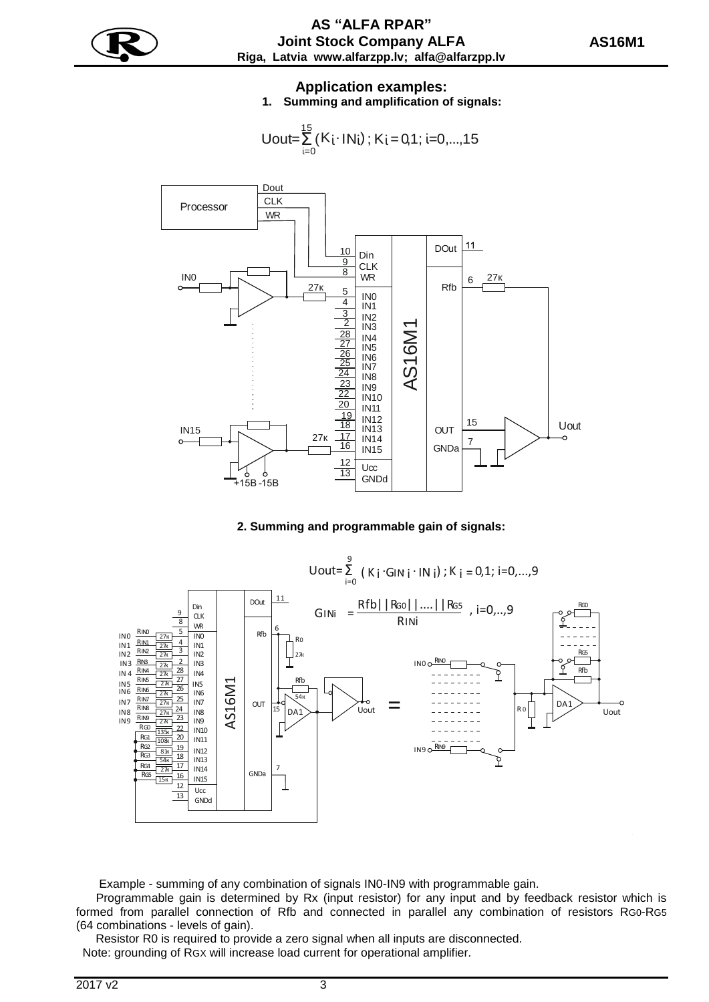

Uout=
$$
\sum_{i=0}^{15} (K_i \cdot IN_i)
$$
;  $K_i = 0,1$ ; i=0,...,15



## **2. Summing and programmable gain of signals:**



Example - summing of any combination of signals IN0-IN9 with programmable gain.

 Programmable gain is determined by Rx (input resistor) for any input and by feedback resistor which is formed from parallel connection of Rfb and connected in parallel any combination of resistors RG0-RG5 (64 combinations - levels of gain).

Resistor R0 is required to provide a zero signal when all inputs are disconnected.

Note: grounding of RGX will increase load current for operational amplifier.